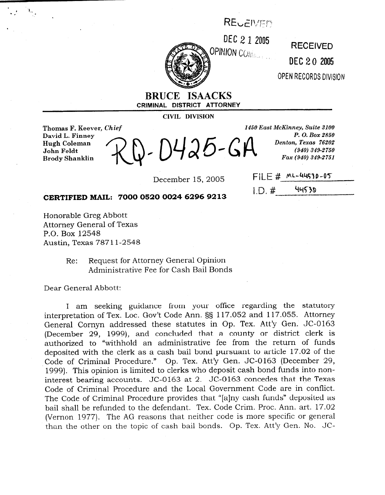## REUEIVED



**DEC 2 1 2005 RECEIVED** DEC 2 0 2005 QPEN RECORDS DIVISION

**BRUCE ISAACKS CRIMINAL DISTRICT ATTORNEY** 

**CIVIL DIVISION** 

**Thomas F. Keever,** *Chief*  **David L. Finney Hugh Coleman John Feldt \ I Brody Shanklin** 

)425-GA

December 15, 2005 FILE #  $ML-44530-05$ 

*P. O. Box 2850*<br>*Denton, Texas 76202*  $(940) 349 - 2750$ Fax (940) 349-2751

 $ID. #$  44530

*1450 East McKinney, Suite 3100* 

**CERTIFIED MAIL: 7000 0520 0024 6296 9213** 

Honorable Greg Abbott Attorney General of Texas P.O. Box 12548 Austin, Texas 787 11-2548

> Re: Request for Attorney General Opinion Administrative Fee for Cash Bail Bonds

Dear General Abbott:

I am seeking guidance from your office regarding the statutory interpretation of Tex. Loc. Gov't Code Ann. §§ 117.052 and 117.055. Attorney General Cornyn addressed these statutes in Op. Tex. Att'y Gen. JC-0163 (December 29, 1999), and concluded that a county or district clerk is authorized to "withhold an administrative fee from the return of funds deposited with the clerk as a cash bail bond pursuant to article 17.02 of the Code of Criminal Procedure." Op. Tex. Att'y Gen. JC-0163 (December 29, 1999). This opinion is limited to clerks who deposit cash bond funds into noninterest bearing accounts. JC-0163 at 2. JC-0163 concedes that the Texas Code of Criminal Procedure and the Local Government Code are in conflict. The Code of Criminal Procedure provides that "[alny cash funds" deposited as bail shall be refunded to the defendant. Tex. Code Crim. Proc. Ann. art. 17.02 (Vernon 1977). The AG reasons that neither code is more specific or general than the other on the topic of cash bail bonds. Op. Tex. Att'y Gen. No. JC-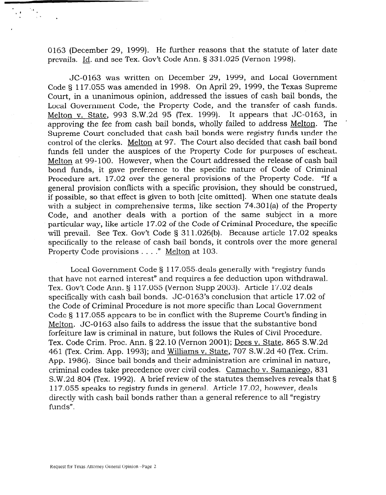0163 (December 29, 1999). He further reasons that the statute of later date prevails. Id. and see Tex. Gov't Code Ann. 5 331.025 (Vernon 1998).

JC-0163 was written on December 29, 1999, and Local Government Code 5 117.055 was amended in 1998. On April 29, 1999, the Texas Supreme Court, in a unanimous opinion, addressed the issues of cash bail bonds, the Local Government Code, the Property Code, and the transfer of cash funds. Melton v. State, 993 S.W.2d 95 (Tex. 1999). It appears that JC-0163, in approving the fee from cash bail bonds, wholly failed to address Melton. The Supreme Court concluded that cash bail bonds were registry funds under the control of the clerks. Melton at 97. The Court also decided that cash bail bond funds fell under the auspices of the Property Code for purposes of escheat. Melton at 99-100. However, when the Court addressed the release of cash bail bond funds, it gave preference to the specific nature of Code of Criminal Procedure art. 17.02 over the general provisions of the Property Code. "If a general provision conflicts with a specific provision, they should be construed, if possible, so that effect is given to both [cite omitted]. When one statute deals with a subject in comprehensive terms, like section 74.301(a) of the Property Code, and another deals with a portion of the same subject in a more particular way, like article 17.02 of the Code of Criminal Procedure, the specific will prevail. See Tex. Gov't Code § 311.026(b). Because article 17.02 speaks specifically to the release of cash bail bonds, it controls over the more general Property Code provisions . . . ." Melton at 103.

Local Government Code § 117.055 deals generally with "registry funds" that have not earned interest" and requires a fee deduction upon withdrawal. Tex. Gov't Code Ann. § 117.055 (Vernon Supp 2003). Article 17.02 deals specifically with cash bail bonds. JC-0163's conclusion that article 17.02 of the Code of Criminal Procedure is not more specific than Local Government Code 5 117.055 appears to be in conflict with the Supreme Court's finding in Melton. JC-0163 also fails to address the issue that the substantive bond forfeiture law is criminal in nature, but follows the Rules of Civil Procedure. Tex. Code Crim. Proc. Ann. 5 22.10 (Vernon 2001); Dees v. State, 865 S.W.2d 461 (Tex. Crim. App. 1993); and Williams v. State, 707 S.W.2d 40 (Tex. Crim. App. 1986). Since bail bonds and their administration are criminal in nature, criminal codes take precedence over civil codes. Camacho v. Samaniego, 831 S.W.2d 804 (Tex. 1992). A brief review of the statutes themselves reveals that 5 117.055 speaks to registry funds in general. Article 17.02, however, deals directly with cash bail bonds rather than a general reference to all "registry funds".